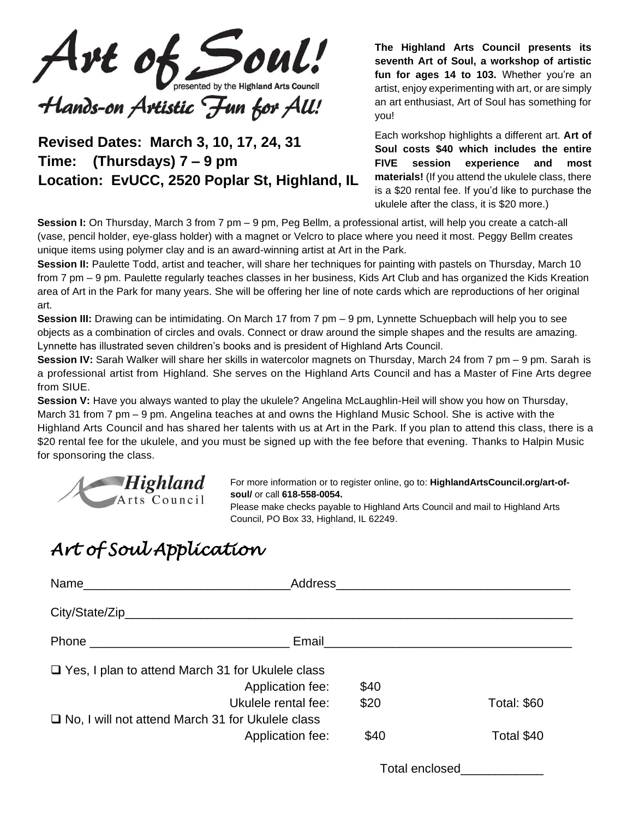Art of Soul! presented by the Highland Arts Council

# Hands-on Artistic Fun for All!

### **Revised Dates: March 3, 10, 17, 24, 31 Time: (Thursdays) 7 – 9 pm Location: EvUCC, 2520 Poplar St, Highland, IL**

**The Highland Arts Council presents its seventh Art of Soul, a workshop of artistic fun for ages 14 to 103.** Whether you're an artist, enjoy experimenting with art, or are simply an art enthusiast, Art of Soul has something for you!

Each workshop highlights a different art. **Art of Soul costs \$40 which includes the entire FIVE session experience and most materials!** (If you attend the ukulele class, there is a \$20 rental fee. If you'd like to purchase the ukulele after the class, it is \$20 more.)

**Session I:** On Thursday, March 3 from 7 pm – 9 pm, Peg Bellm, a professional artist, will help you create a catch-all (vase, pencil holder, eye-glass holder) with a magnet or Velcro to place where you need it most. Peggy Bellm creates unique items using polymer clay and is an award-winning artist at Art in the Park.

**Session II:** Paulette Todd, artist and teacher, will share her techniques for painting with pastels on Thursday, March 10 from 7 pm – 9 pm. Paulette regularly teaches classes in her business, Kids Art Club and has organized the Kids Kreation area of Art in the Park for many years. She will be offering her line of note cards which are reproductions of her original art.

**Session III:** Drawing can be intimidating. On March 17 from 7 pm – 9 pm, Lynnette Schuepbach will help you to see objects as a combination of circles and ovals. Connect or draw around the simple shapes and the results are amazing. Lynnette has illustrated seven children's books and is president of Highland Arts Council.

**Session IV:** Sarah Walker will share her skills in watercolor magnets on Thursday, March 24 from 7 pm – 9 pm. Sarah is a professional artist from Highland. She serves on the Highland Arts Council and has a Master of Fine Arts degree from SIUE.

**Session V:** Have you always wanted to play the ukulele? Angelina McLaughlin-Heil will show you how on Thursday, March 31 from 7 pm – 9 pm. Angelina teaches at and owns the Highland Music School. She is active with the Highland Arts Council and has shared her talents with us at Art in the Park. If you plan to attend this class, there is a \$20 rental fee for the ukulele, and you must be signed up with the fee before that evening. Thanks to Halpin Music for sponsoring the class.



For more information or to register online, go to: **HighlandArtsCouncil.org/art-ofsoul/** or call **618-558-0054.**

Please make checks payable to Highland Arts Council and mail to Highland Arts Council, PO Box 33, Highland, IL 62249.

## *Art of Soul Application*

| Name                                                    |                          |                    |
|---------------------------------------------------------|--------------------------|--------------------|
|                                                         |                          |                    |
|                                                         |                          |                    |
| $\Box$ Yes, I plan to attend March 31 for Ukulele class |                          |                    |
|                                                         | Application fee:<br>\$40 |                    |
| Ukulele rental fee:                                     | \$20                     | <b>Total: \$60</b> |
| $\Box$ No, I will not attend March 31 for Ukulele class |                          |                    |
|                                                         | \$40<br>Application fee: | Total \$40         |
|                                                         |                          |                    |

Total enclosed\_\_\_\_\_\_\_\_\_\_